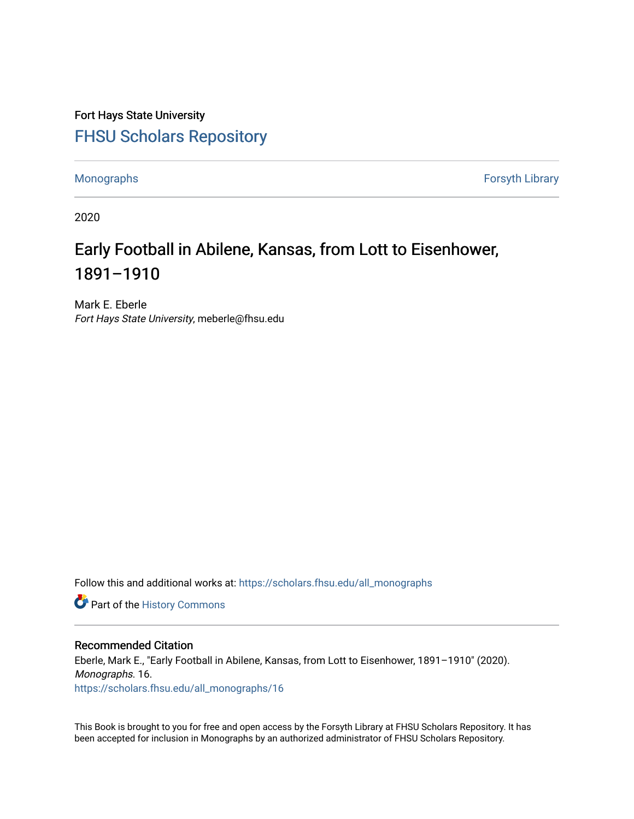Fort Hays State University [FHSU Scholars Repository](https://scholars.fhsu.edu/) 

[Monographs](https://scholars.fhsu.edu/all_monographs) [Forsyth Library](https://scholars.fhsu.edu/library) 

2020

### Early Football in Abilene, Kansas, from Lott to Eisenhower, 1891–1910

Mark E. Eberle Fort Hays State University, meberle@fhsu.edu

Follow this and additional works at: [https://scholars.fhsu.edu/all\\_monographs](https://scholars.fhsu.edu/all_monographs?utm_source=scholars.fhsu.edu%2Fall_monographs%2F16&utm_medium=PDF&utm_campaign=PDFCoverPages) 

Part of the [History Commons](http://network.bepress.com/hgg/discipline/489?utm_source=scholars.fhsu.edu%2Fall_monographs%2F16&utm_medium=PDF&utm_campaign=PDFCoverPages) 

### Recommended Citation

Eberle, Mark E., "Early Football in Abilene, Kansas, from Lott to Eisenhower, 1891–1910" (2020). Monographs. 16. [https://scholars.fhsu.edu/all\\_monographs/16](https://scholars.fhsu.edu/all_monographs/16?utm_source=scholars.fhsu.edu%2Fall_monographs%2F16&utm_medium=PDF&utm_campaign=PDFCoverPages)

This Book is brought to you for free and open access by the Forsyth Library at FHSU Scholars Repository. It has been accepted for inclusion in Monographs by an authorized administrator of FHSU Scholars Repository.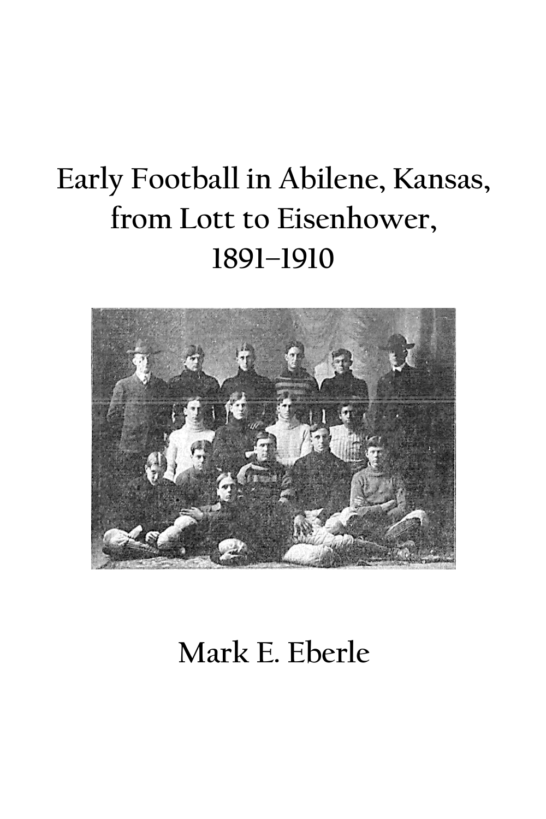# **Early Football in Abilene, Kansas, from Lott to Eisenhower, 1891–1910**



**Mark E. Eberle**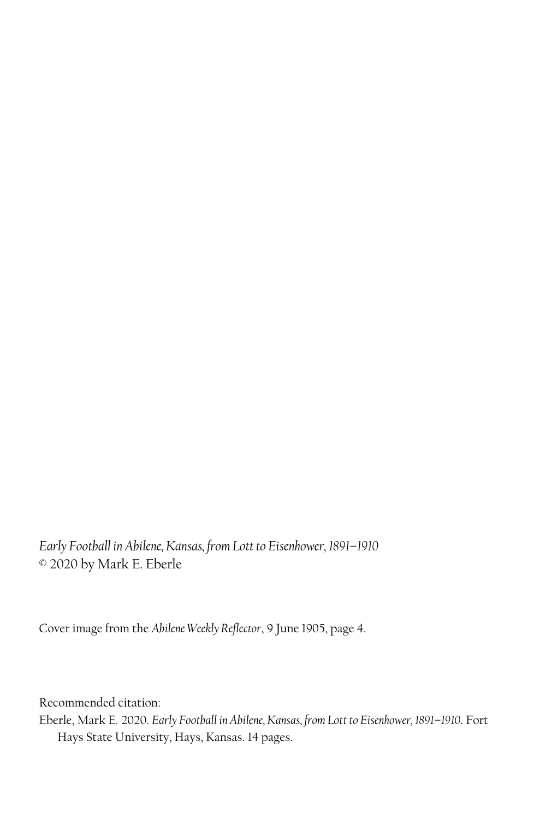*Early Football in Abilene, Kansas, from Lott to Eisenhower, 1891–1910* © 2020 by Mark E. Eberle

Cover image from the *Abilene Weekly Reflector*, 9 June 1905, page 4.

Recommended citation:

Eberle, Mark E. 2020. *Early Football in Abilene, Kansas, from Lott to Eisenhower, 1891–1910*. Fort Hays State University, Hays, Kansas. 14 pages.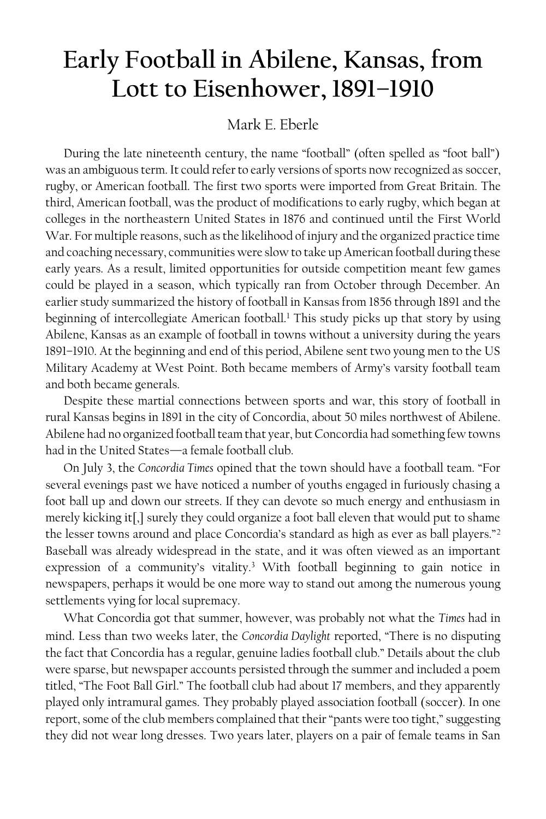## **Early Football in Abilene, Kansas, from Lott to Eisenhower, 1891–1910**

### Mark E. Eberle

During the late nineteenth century, the name "football" (often spelled as "foot ball") was an ambiguous term. It could refer to early versions of sports now recognized as soccer, rugby, or American football. The first two sports were imported from Great Britain. The third, American football, was the product of modifications to early rugby, which began at colleges in the northeastern United States in 1876 and continued until the First World War. For multiple reasons, such as the likelihood of injury and the organized practice time and coaching necessary, communities were slow to take up American football during these early years. As a result, limited opportunities for outside competition meant few games could be played in a season, which typically ran from October through December. An earlier study summarized the history of football in Kansas from 1856 through 1891 and the beginning of intercollegiate American football.<sup>1</sup> This study picks up that story by using Abilene, Kansas as an example of football in towns without a university during the years 1891–1910. At the beginning and end of this period, Abilene sent two young men to the US Military Academy at West Point. Both became members of Army's varsity football team and both became generals.

Despite these martial connections between sports and war, this story of football in rural Kansas begins in 1891 in the city of Concordia, about 50 miles northwest of Abilene. Abilene had no organized football team that year, butConcordia had something few towns had in the United States—a female football club.

On July 3, the *Concordia Times* opined that the town should have a football team. "For several evenings past we have noticed a number of youths engaged in furiously chasing a foot ball up and down our streets. If they can devote so much energy and enthusiasm in merely kicking it[,] surely they could organize a foot ball eleven that would put to shame the lesser towns around and place Concordia's standard as high as ever as ball players."<sup>2</sup> Baseball was already widespread in the state, and it was often viewed as an important expression of a community's vitality. <sup>3</sup> With football beginning to gain notice in newspapers, perhaps it would be one more way to stand out among the numerous young settlements vying for local supremacy.

What Concordia got that summer, however, was probably not what the *Times* had in mind. Less than two weeks later, the *Concordia Daylight* reported, "There is no disputing the fact that Concordia has a regular, genuine ladies football club." Details about the club were sparse, but newspaper accounts persisted through the summer and included a poem titled, "The Foot Ball Girl." The football club had about 17 members, and they apparently played only intramural games. They probably played association football (soccer). In one report, some of the club members complained that their "pants were too tight," suggesting they did not wear long dresses. Two years later, players on a pair of female teams in San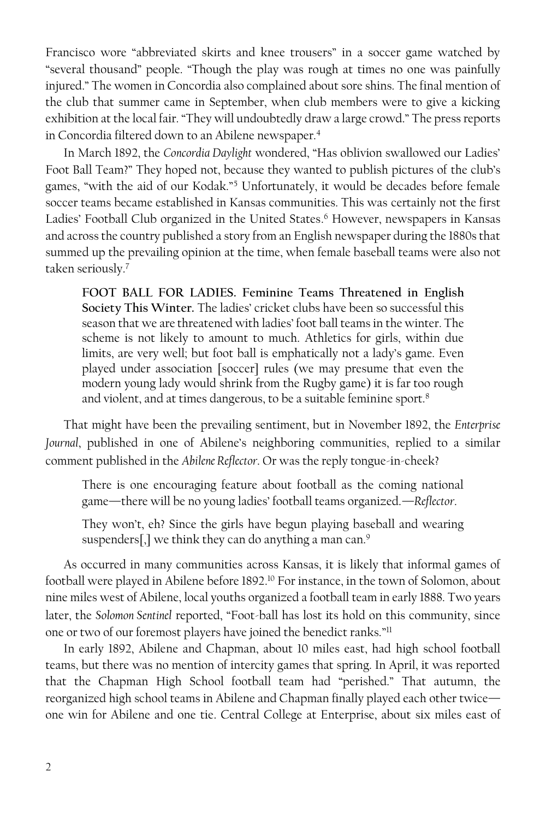Francisco wore "abbreviated skirts and knee trousers" in a soccer game watched by "several thousand" people. "Though the play was rough at times no one was painfully injured." The women in Concordia also complained about sore shins. The final mention of the club that summer came in September, when club members were to give a kicking exhibition at the local fair. "They will undoubtedly draw a large crowd." The press reports in Concordia filtered down to an Abilene newspaper.<sup>4</sup>

In March 1892, the *Concordia Daylight* wondered, "Has oblivion swallowed our Ladies' Foot Ball Team?" They hoped not, because they wanted to publish pictures of the club's games, "with the aid of our Kodak."<sup>5</sup> Unfortunately, it would be decades before female soccer teams became established in Kansas communities. This was certainly not the first Ladies' Football Club organized in the United States. <sup>6</sup> However, newspapers in Kansas and across the country published a story from an English newspaper during the 1880s that summed up the prevailing opinion at the time, when female baseball teams were also not taken seriously. 7

**FOOT BALL FOR LADIES. Feminine Teams Threatened in English Society This Winter.** The ladies' cricket clubs have been so successful this season that we are threatened with ladies' foot ball teams in the winter. The scheme is not likely to amount to much. Athletics for girls, within due limits, are very well; but foot ball is emphatically not a lady's game. Even played under association [soccer] rules (we may presume that even the modern young lady would shrink from the Rugby game) it is far too rough and violent, and at times dangerous, to be a suitable feminine sport.<sup>8</sup>

That might have been the prevailing sentiment, but in November 1892, the *Enterprise Journal*, published in one of Abilene's neighboring communities, replied to a similar comment published in the *Abilene Reflector*. Or was the reply tongue-in-cheek?

There is one encouraging feature about football as the coming national game—there will be no young ladies' football teams organized.—*Reflector*.

They won't, eh? Since the girls have begun playing baseball and wearing suspenders<sup>[1]</sup>, we think they can do anything a man can.<sup>9</sup>

As occurred in many communities across Kansas, it is likely that informal games of football were played in Abilene before 1892. <sup>10</sup> For instance, in the town of Solomon, about nine miles west of Abilene, local youths organized a football team in early 1888. Two years later, the *Solomon Sentinel* reported, "Foot-ball has lost its hold on this community, since one or two of our foremost players have joined the benedict ranks."<sup>11</sup>

In early 1892, Abilene and Chapman, about 10 miles east, had high school football teams, but there was no mention of intercity games that spring. In April, it was reported that the Chapman High School football team had "perished." That autumn, the reorganized high school teams in Abilene and Chapman finally played each other twice one win for Abilene and one tie. Central College at Enterprise, about six miles east of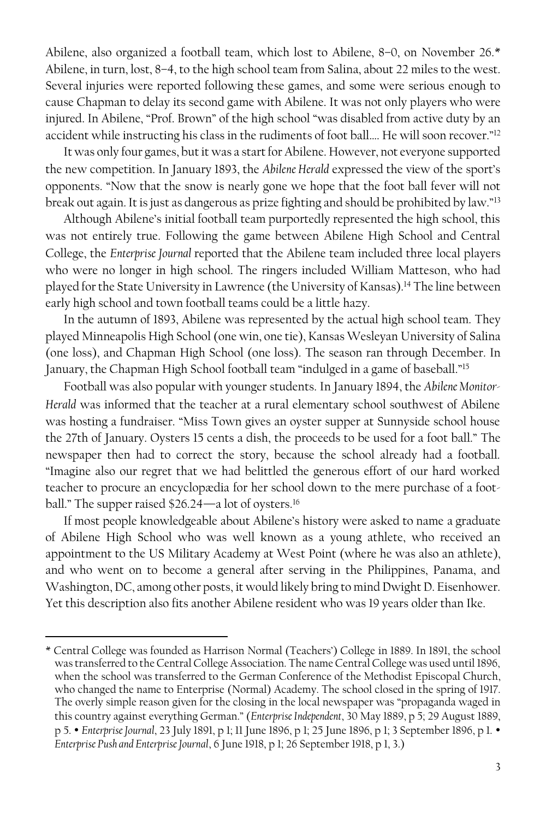Abilene, also organized a football team, which lost to Abilene, 8–0, on November 26.\* Abilene, in turn, lost, 8–4, to the high school team from Salina, about 22 miles to the west. Several injuries were reported following these games, and some were serious enough to cause Chapman to delay its second game with Abilene. It was not only players who were injured. In Abilene, "Prof. Brown" of the high school "was disabled from active duty by an accident while instructing his class in the rudiments of foot ball.... He will soon recover."<sup>12</sup>

It was only four games, but it was a start for Abilene. However, not everyone supported the new competition. In January 1893, the *Abilene Herald* expressed the view of the sport's opponents. "Now that the snow is nearly gone we hope that the foot ball fever will not break out again. It is just as dangerous as prize fighting and should be prohibited by law."<sup>13</sup>

Although Abilene's initial football team purportedly represented the high school, this was not entirely true. Following the game between Abilene High School and Central College, the *Enterprise Journal* reported that the Abilene team included three local players who were no longer in high school. The ringers included William Matteson, who had played for the State University in Lawrence (the University of Kansas).<sup>14</sup> The line between early high school and town football teams could be a little hazy.

In the autumn of 1893, Abilene was represented by the actual high school team. They played Minneapolis High School (one win, one tie), Kansas Wesleyan University of Salina (one loss), and Chapman High School (one loss). The season ran through December. In January, the Chapman High School football team "indulged in a game of baseball."<sup>15</sup>

Football was also popular with younger students. In January 1894, the *Abilene Monitor-Herald* was informed that the teacher at a rural elementary school southwest of Abilene was hosting a fundraiser. "Miss Town gives an oyster supper at Sunnyside school house the 27th of January. Oysters 15 cents a dish, the proceeds to be used for a foot ball." The newspaper then had to correct the story, because the school already had a football. "Imagine also our regret that we had belittled the generous effort of our hard worked teacher to procure an encyclopædia for her school down to the mere purchase of a football." The supper raised \$26.24—a lot of oysters.<sup>16</sup>

If most people knowledgeable about Abilene's history were asked to name a graduate of Abilene High School who was well known as a young athlete, who received an appointment to the US Military Academy at West Point (where he was also an athlete), and who went on to become a general after serving in the Philippines, Panama, and Washington, DC, among other posts, it would likely bring to mind Dwight D. Eisenhower. Yet this description also fits another Abilene resident who was 19 years older than Ike.

<sup>\*</sup> Central College was founded as Harrison Normal (Teachers') College in 1889. In 1891, the school was transferred to the Central College Association. The name Central College was used until 1896, when the school was transferred to the German Conference of the Methodist Episcopal Church, who changed the name to Enterprise (Normal) Academy. The school closed in the spring of 1917. The overly simple reason given for the closing in the local newspaper was "propaganda waged in this country against everything German." (*Enterprise Independent*, 30 May 1889, p 5; 29 August 1889, p 5. *Enterprise Journal*, 23 July 1891, p 1; 11 June 1896, p 1; 25 June 1896, p 1; 3 September 1896, p 1. *Enterprise Push and Enterprise Journal*, 6 June 1918, p 1; 26 September 1918, p 1, 3.)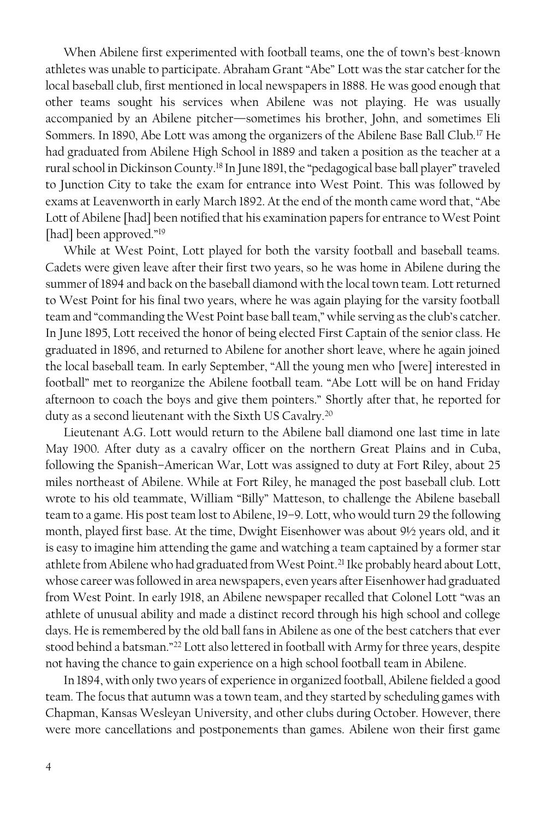When Abilene first experimented with football teams, one the of town's best-known athletes was unable to participate. Abraham Grant "Abe" Lott was the star catcher for the local baseball club, first mentioned in local newspapers in 1888. He was good enough that other teams sought his services when Abilene was not playing. He was usually accompanied by an Abilene pitcher—sometimes his brother, John, and sometimes Eli Sommers. In 1890, Abe Lott was among the organizers of the Abilene Base Ball Club.<sup>17</sup> He had graduated from Abilene High School in 1889 and taken a position as the teacher at a rural school in Dickinson County.<sup>18</sup> In June 1891, the "pedagogical base ball player" traveled to Junction City to take the exam for entrance into West Point. This was followed by exams at Leavenworth in early March 1892. At the end of the month came word that, "Abe Lott of Abilene [had] been notified that his examination papers for entrance to West Point [had] been approved."<sup>19</sup>

While at West Point, Lott played for both the varsity football and baseball teams. Cadets were given leave after their first two years, so he was home in Abilene during the summer of 1894 and back on the baseball diamond with the local town team. Lottreturned to West Point for his final two years, where he was again playing for the varsity football team and "commanding the West Point base ball team," while serving as the club's catcher. In June 1895, Lott received the honor of being elected First Captain of the senior class. He graduated in 1896, and returned to Abilene for another short leave, where he again joined the local baseball team. In early September, "All the young men who [were] interested in football" met to reorganize the Abilene football team. "Abe Lott will be on hand Friday afternoon to coach the boys and give them pointers." Shortly after that, he reported for duty as a second lieutenant with the Sixth US Cavalry. 20

Lieutenant A.G. Lott would return to the Abilene ball diamond one last time in late May 1900. After duty as a cavalry officer on the northern Great Plains and in Cuba, following the Spanish–American War, Lott was assigned to duty at Fort Riley, about 25 miles northeast of Abilene. While at Fort Riley, he managed the post baseball club. Lott wrote to his old teammate, William "Billy" Matteson, to challenge the Abilene baseball team to a game. His post team lost to Abilene, 19–9. Lott, who would turn 29 the following month, played first base. At the time, Dwight Eisenhower was about 9½ years old, and it is easy to imagine him attending the game and watching a team captained by a former star athlete from Abilene who had graduated from West Point. <sup>21</sup> Ike probably heard about Lott, whose career was followed in area newspapers, even years after Eisenhower had graduated from West Point. In early 1918, an Abilene newspaper recalled that Colonel Lott "was an athlete of unusual ability and made a distinct record through his high school and college days. He is remembered by the old ball fans in Abilene as one of the best catchers that ever stood behind a batsman."<sup>22</sup> Lott also lettered in football with Army for three years, despite not having the chance to gain experience on a high school football team in Abilene.

In 1894, with only two years of experience in organized football, Abilene fielded a good team. The focus that autumn was a town team, and they started by scheduling games with Chapman, Kansas Wesleyan University, and other clubs during October. However, there were more cancellations and postponements than games. Abilene won their first game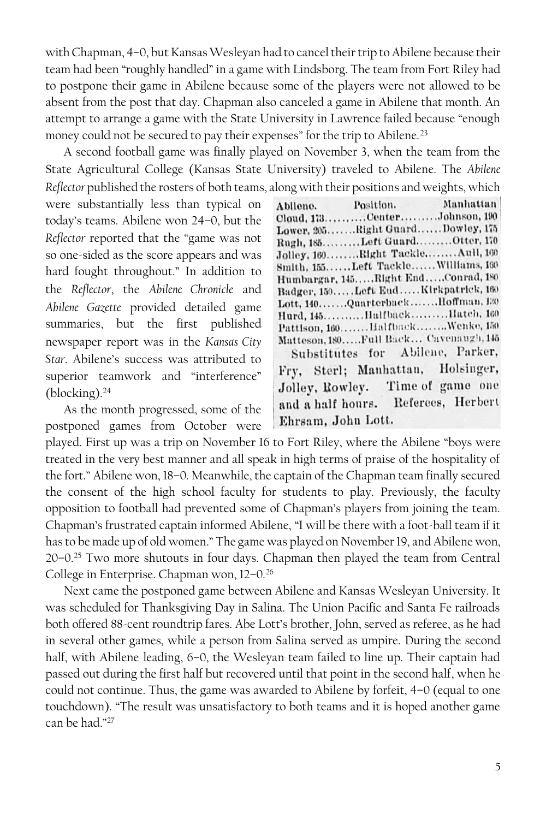with Chapman, 4–0, but Kansas Wesleyan had to cancel their trip to Abilene because their team had been "roughly handled" in a game with Lindsborg. The team from Fort Riley had to postpone their game in Abilene because some of the players were not allowed to be absent from the post that day. Chapman also canceled a game in Abilene that month. An attempt to arrange a game with the State University in Lawrence failed because "enough money could not be secured to pay their expenses" for the trip to Abilene.<sup>23</sup>

A second football game was finally played on November 3, when the team from the State Agricultural College (Kansas State University) traveled to Abilene. The *Abilene Reflector* published the rosters of both teams, along with their positions and weights, which

were substantially less than typical on today's teams. Abilene won 24–0, but the *Reflector* reported that the "game was not so one-sided as the score appears and was hard fought throughout." In addition to the *Reflector*, the *Abilene Chronicle* and *Abilene Gazette* provided detailed game summaries, but the first published newspaper report was in the *Kansas City Star*. Abilene's success was attributed to superior teamwork and "interference" (blocking).<sup>24</sup>

As the month progressed, some of the postponed games from October were

|                    | Abilene. Position. Manhattan          |
|--------------------|---------------------------------------|
|                    | Cloud, 173CenterJohnson, 190          |
|                    | Lower, 205Right GuardDowley, 175      |
|                    | Rugh, 185Left GuardOtter, 170         |
|                    | Jolley, 160. Right Tackle. Aull, 160  |
|                    | Smith, 155Left TackleWilliams, 160    |
|                    | Humbargar, 145Right EndConrad, 180    |
|                    | Badger, 150Left EndKirkpatrick, 160   |
|                    | Lott, 140QuarterbackHoffman, 120      |
|                    | Hurd, 145HalfbackIlatch, 160          |
|                    | Pattison, 160HalfbackWenke, 150       |
|                    | Matteson, 180Full Back Cavenaugh, 145 |
|                    | Substitutes for Abilene, Parker,      |
|                    | Fry, Sterl; Manhattan, Holsinger,     |
|                    | Jolley, Rowley. Time of game one      |
|                    | and a half hours. Referees, Herbert   |
| Ehrsam, John Lott. |                                       |

played. First up was a trip on November 16 to Fort Riley, where the Abilene "boys were treated in the very best manner and all speak in high terms of praise of the hospitality of the fort." Abilene won, 18–0. Meanwhile, the captain of the Chapman team finally secured the consent of the high school faculty for students to play. Previously, the faculty opposition to football had prevented some of Chapman's players from joining the team. Chapman's frustrated captain informed Abilene, "I will be there with a foot-ball team if it has to be made up of old women." The game was played on November 19, and Abilene won, 20–0.<sup>25</sup> Two more shutouts in four days. Chapman then played the team from Central College in Enterprise. Chapman won, 12–0.<sup>26</sup>

Next came the postponed game between Abilene and Kansas Wesleyan University. It was scheduled for Thanksgiving Day in Salina. The Union Pacific and Santa Fe railroads both offered 88-cent roundtrip fares. Abe Lott's brother, John, served as referee, as he had in several other games, while a person from Salina served as umpire. During the second half, with Abilene leading, 6–0, the Wesleyan team failed to line up. Their captain had passed out during the first half but recovered until that point in the second half, when he could not continue. Thus, the game was awarded to Abilene by forfeit, 4–0 (equal to one touchdown). "The result was unsatisfactory to both teams and it is hoped another game can be had."27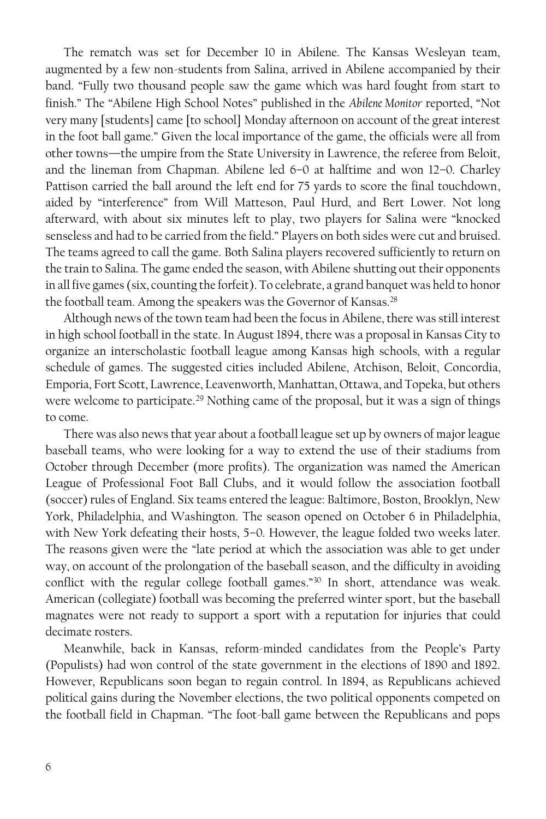The rematch was set for December 10 in Abilene. The Kansas Wesleyan team, augmented by a few non-students from Salina, arrived in Abilene accompanied by their band. "Fully two thousand people saw the game which was hard fought from start to finish." The "Abilene High School Notes" published in the *Abilene Monitor* reported, "Not very many [students] came [to school] Monday afternoon on account of the great interest in the foot ball game." Given the local importance of the game, the officials were all from other towns—the umpire from the State University in Lawrence, the referee from Beloit, and the lineman from Chapman. Abilene led 6–0 at halftime and won 12–0. Charley Pattison carried the ball around the left end for 75 yards to score the final touchdown, aided by "interference" from Will Matteson, Paul Hurd, and Bert Lower. Not long afterward, with about six minutes left to play, two players for Salina were "knocked senseless and had to be carried from the field." Players on both sides were cut and bruised. The teams agreed to call the game. Both Salina players recovered sufficiently to return on the train to Salina. The game ended the season, with Abilene shutting out their opponents in all five games(six, counting the forfeit). To celebrate, a grand banquet was held to honor the football team. Among the speakers was the Governor of Kansas.<sup>28</sup>

Although news of the town team had been the focus in Abilene, there was still interest in high school football in the state. In August 1894, there was a proposal in Kansas City to organize an interscholastic football league among Kansas high schools, with a regular schedule of games. The suggested cities included Abilene, Atchison, Beloit, Concordia, Emporia, Fort Scott, Lawrence, Leavenworth, Manhattan, Ottawa, and Topeka, but others were welcome to participate.<sup>29</sup> Nothing came of the proposal, but it was a sign of things to come.

There was also news that year about a football league set up by owners of major league baseball teams, who were looking for a way to extend the use of their stadiums from October through December (more profits). The organization was named the American League of Professional Foot Ball Clubs, and it would follow the association football (soccer) rules of England. Six teams entered the league: Baltimore, Boston, Brooklyn, New York, Philadelphia, and Washington. The season opened on October 6 in Philadelphia, with New York defeating their hosts, 5–0. However, the league folded two weeks later. The reasons given were the "late period at which the association was able to get under way, on account of the prolongation of the baseball season, and the difficulty in avoiding conflict with the regular college football games."<sup>30</sup> In short, attendance was weak. American (collegiate) football was becoming the preferred winter sport, but the baseball magnates were not ready to support a sport with a reputation for injuries that could decimate rosters.

Meanwhile, back in Kansas, reform-minded candidates from the People's Party (Populists) had won control of the state government in the elections of 1890 and 1892. However, Republicans soon began to regain control. In 1894, as Republicans achieved political gains during the November elections, the two political opponents competed on the football field in Chapman. "The foot-ball game between the Republicans and pops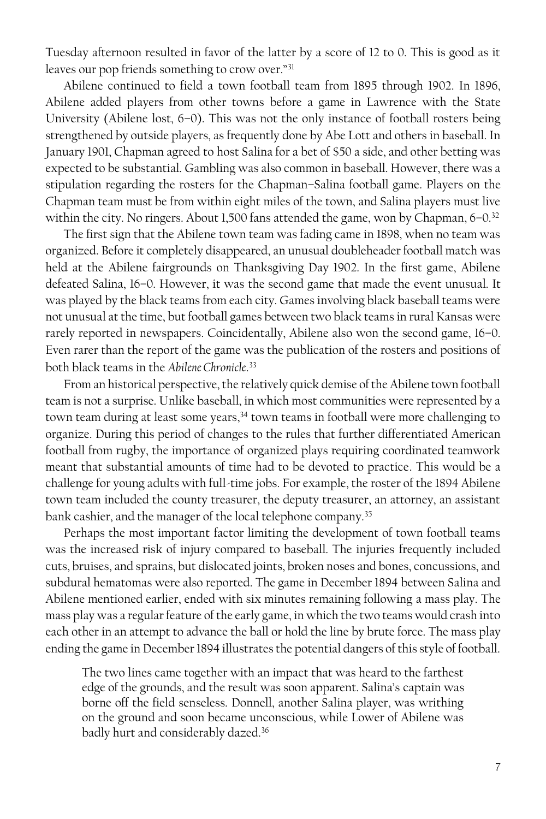Tuesday afternoon resulted in favor of the latter by a score of 12 to 0. This is good as it leaves our pop friends something to crow over."<sup>31</sup>

Abilene continued to field a town football team from 1895 through 1902. In 1896, Abilene added players from other towns before a game in Lawrence with the State University (Abilene lost, 6–0). This was not the only instance of football rosters being strengthened by outside players, as frequently done by Abe Lott and others in baseball. In January 1901, Chapman agreed to host Salina for a bet of \$50 a side, and other betting was expected to be substantial. Gambling was also common in baseball. However, there was a stipulation regarding the rosters for the Chapman–Salina football game. Players on the Chapman team must be from within eight miles of the town, and Salina players must live within the city. No ringers. About 1,500 fans attended the game, won by Chapman, 6-0.<sup>32</sup>

The first sign that the Abilene town team was fading came in 1898, when no team was organized. Before it completely disappeared, an unusual doubleheader football match was held at the Abilene fairgrounds on Thanksgiving Day 1902. In the first game, Abilene defeated Salina, 16–0. However, it was the second game that made the event unusual. It was played by the black teams from each city. Games involving black baseball teams were not unusual at the time, but football games between two black teams in rural Kansas were rarely reported in newspapers. Coincidentally, Abilene also won the second game, 16–0. Even rarer than the report of the game was the publication of the rosters and positions of both black teams in the *Abilene Chronicle*. 33

From an historical perspective, the relatively quick demise of the Abilene town football team is not a surprise. Unlike baseball, in which most communities were represented by a town team during at least some years,<sup>34</sup> town teams in football were more challenging to organize. During this period of changes to the rules that further differentiated American football from rugby, the importance of organized plays requiring coordinated teamwork meant that substantial amounts of time had to be devoted to practice. This would be a challenge for young adults with full-time jobs. For example, the roster of the 1894 Abilene town team included the county treasurer, the deputy treasurer, an attorney, an assistant bank cashier, and the manager of the local telephone company.<sup>35</sup>

Perhaps the most important factor limiting the development of town football teams was the increased risk of injury compared to baseball. The injuries frequently included cuts, bruises, and sprains, but dislocated joints, broken noses and bones, concussions, and subdural hematomas were also reported. The game in December 1894 between Salina and Abilene mentioned earlier, ended with six minutes remaining following a mass play. The mass play was a regular feature of the early game, in which the two teams would crash into each other in an attempt to advance the ball or hold the line by brute force. The mass play ending the game in December 1894 illustrates the potential dangers of this style of football.

The two lines came together with an impact that was heard to the farthest edge of the grounds, and the result was soon apparent. Salina's captain was borne off the field senseless. Donnell, another Salina player, was writhing on the ground and soon became unconscious, while Lower of Abilene was badly hurt and considerably dazed.36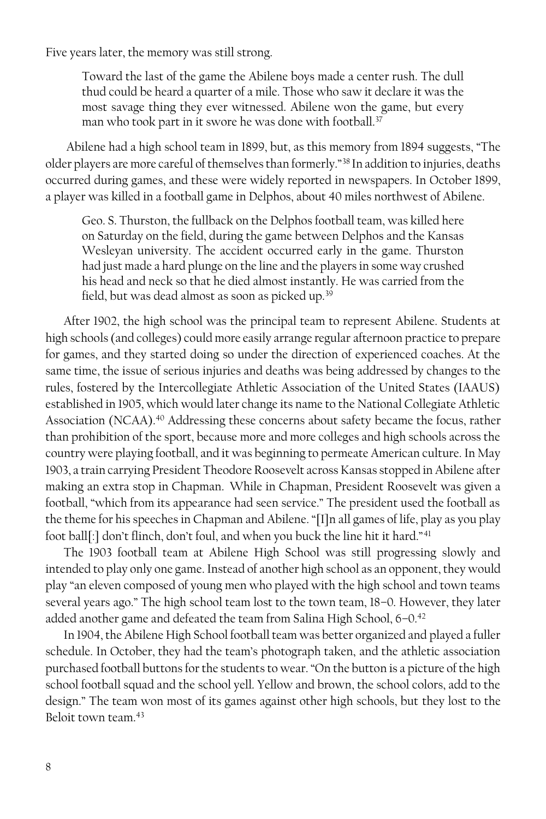Five years later, the memory was still strong.

Toward the last of the game the Abilene boys made a center rush. The dull thud could be heard a quarter of a mile. Those who saw it declare it was the most savage thing they ever witnessed. Abilene won the game, but every man who took part in it swore he was done with football.<sup>37</sup>

Abilene had a high school team in 1899, but, as this memory from 1894 suggests, "The older players are more careful of themselves than formerly."<sup>38</sup> In addition to injuries, deaths occurred during games, and these were widely reported in newspapers. In October 1899, a player was killed in a football game in Delphos, about 40 miles northwest of Abilene.

Geo. S. Thurston, the fullback on the Delphos football team, was killed here on Saturday on the field, during the game between Delphos and the Kansas Wesleyan university. The accident occurred early in the game. Thurston had just made a hard plunge on the line and the players in some way crushed his head and neck so that he died almost instantly. He was carried from the field, but was dead almost as soon as picked up.<sup>39</sup>

After 1902, the high school was the principal team to represent Abilene. Students at high schools (and colleges) could more easily arrange regular afternoon practice to prepare for games, and they started doing so under the direction of experienced coaches. At the same time, the issue of serious injuries and deaths was being addressed by changes to the rules, fostered by the Intercollegiate Athletic Association of the United States (IAAUS) established in 1905, which would later change its name to the National Collegiate Athletic Association (NCAA). <sup>40</sup> Addressing these concerns about safety became the focus, rather than prohibition of the sport, because more and more colleges and high schools across the country were playing football, and it was beginning to permeate American culture. In May 1903, a train carrying President Theodore Roosevelt across Kansas stopped in Abilene after making an extra stop in Chapman. While in Chapman, President Roosevelt was given a football, "which from its appearance had seen service." The president used the football as the theme for his speeches in Chapman and Abilene. "[I]n all games of life, play as you play foot ball[:] don't flinch, don't foul, and when you buck the line hit it hard."<sup>41</sup>

The 1903 football team at Abilene High School was still progressing slowly and intended to play only one game. Instead of another high school as an opponent, they would play "an eleven composed of young men who played with the high school and town teams several years ago." The high school team lost to the town team, 18–0. However, they later added another game and defeated the team from Salina High School, 6-0.<sup>42</sup>

In 1904, the Abilene High School football team was better organized and played a fuller schedule. In October, they had the team's photograph taken, and the athletic association purchased football buttons for the students to wear. "On the button is a picture of the high school football squad and the school yell. Yellow and brown, the school colors, add to the design." The team won most of its games against other high schools, but they lost to the Beloit town team.43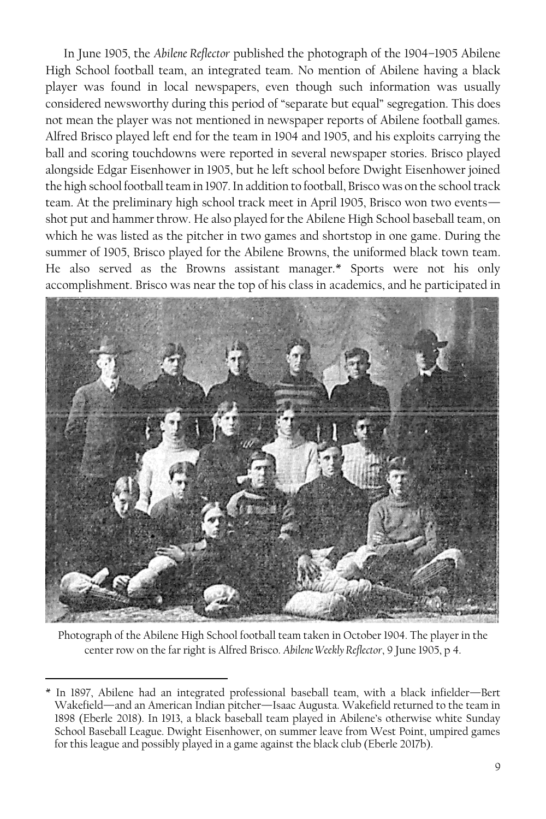In June 1905, the *Abilene Reflector* published the photograph of the 1904–1905 Abilene High School football team, an integrated team. No mention of Abilene having a black player was found in local newspapers, even though such information was usually considered newsworthy during this period of "separate but equal" segregation. This does not mean the player was not mentioned in newspaper reports of Abilene football games. Alfred Brisco played left end for the team in 1904 and 1905, and his exploits carrying the ball and scoring touchdowns were reported in several newspaper stories. Brisco played alongside Edgar Eisenhower in 1905, but he left school before Dwight Eisenhower joined the high school football team in 1907. In addition to football, Brisco was on the school track team. At the preliminary high school track meet in April 1905, Brisco won two events shot put and hammer throw. He also played for the Abilene High School baseball team, on which he was listed as the pitcher in two games and shortstop in one game. During the summer of 1905, Brisco played for the Abilene Browns, the uniformed black town team. He also served as the Browns assistant manager.\* Sports were not his only accomplishment. Brisco was near the top of his class in academics, and he participated in



Photograph of the Abilene High School football team taken in October 1904. The player in the center row on the far right is Alfred Brisco. *Abilene Weekly Reflector*, 9 June 1905, p 4.

<sup>\*</sup> In 1897, Abilene had an integrated professional baseball team, with a black infielder—Bert Wakefield—and an American Indian pitcher—Isaac Augusta. Wakefield returned to the team in 1898 (Eberle 2018). In 1913, a black baseball team played in Abilene's otherwise white Sunday School Baseball League. Dwight Eisenhower, on summer leave from West Point, umpired games for this league and possibly played in a game against the black club (Eberle 2017b).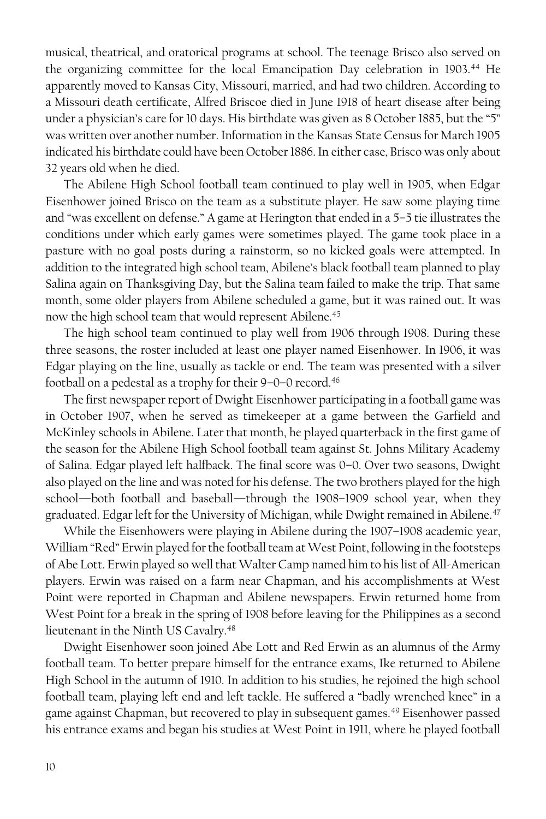musical, theatrical, and oratorical programs at school. The teenage Brisco also served on the organizing committee for the local Emancipation Day celebration in 1903.<sup>44</sup> He apparently moved to Kansas City, Missouri, married, and had two children. According to a Missouri death certificate, Alfred Briscoe died in June 1918 of heart disease after being under a physician's care for 10 days. His birthdate was given as 8 October 1885, but the "5" was written over another number. Information in the Kansas State Census for March 1905 indicated his birthdate could have been October 1886. In either case, Brisco was only about 32 years old when he died.

The Abilene High School football team continued to play well in 1905, when Edgar Eisenhower joined Brisco on the team as a substitute player. He saw some playing time and "was excellent on defense." A game at Herington that ended in a 5–5 tie illustrates the conditions under which early games were sometimes played. The game took place in a pasture with no goal posts during a rainstorm, so no kicked goals were attempted. In addition to the integrated high school team, Abilene's black football team planned to play Salina again on Thanksgiving Day, but the Salina team failed to make the trip. That same month, some older players from Abilene scheduled a game, but it was rained out. It was now the high school team that would represent Abilene.<sup>45</sup>

The high school team continued to play well from 1906 through 1908. During these three seasons, the roster included at least one player named Eisenhower. In 1906, it was Edgar playing on the line, usually as tackle or end. The team was presented with a silver football on a pedestal as a trophy for their 9–0–0 record.<sup>46</sup>

The first newspaper report of Dwight Eisenhower participating in a football game was in October 1907, when he served as timekeeper at a game between the Garfield and McKinley schools in Abilene. Later that month, he played quarterback in the first game of the season for the Abilene High School football team against St. Johns Military Academy of Salina. Edgar played left halfback. The final score was 0–0. Over two seasons, Dwight also played on the line and was noted for his defense. The two brothers played for the high school—both football and baseball—through the 1908–1909 school year, when they graduated. Edgar left for the University of Michigan, while Dwight remained in Abilene.<sup>47</sup>

While the Eisenhowers were playing in Abilene during the 1907–1908 academic year, William "Red" Erwin played for the football team at West Point, following in the footsteps of Abe Lott. Erwin played so well that Walter Camp named him to his list of All-American players. Erwin was raised on a farm near Chapman, and his accomplishments at West Point were reported in Chapman and Abilene newspapers. Erwin returned home from West Point for a break in the spring of 1908 before leaving for the Philippines as a second lieutenant in the Ninth US Cavalry.<sup>48</sup>

Dwight Eisenhower soon joined Abe Lott and Red Erwin as an alumnus of the Army football team. To better prepare himself for the entrance exams, Ike returned to Abilene High School in the autumn of 1910. In addition to his studies, he rejoined the high school football team, playing left end and left tackle. He suffered a "badly wrenched knee" in a game against Chapman, but recovered to play in subsequent games.<sup>49</sup> Eisenhower passed his entrance exams and began his studies at West Point in 1911, where he played football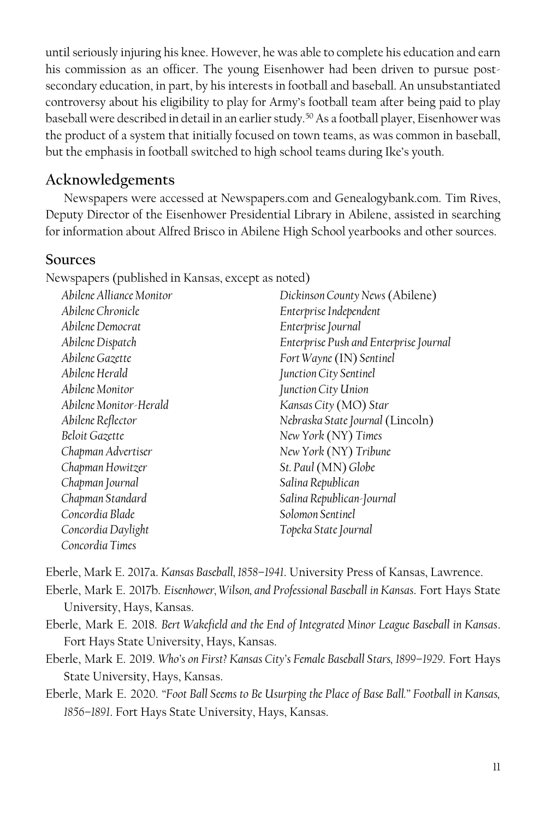until seriously injuring his knee. However, he was able to complete his education and earn his commission as an officer. The young Eisenhower had been driven to pursue postsecondary education, in part, by his interests in football and baseball. An unsubstantiated controversy about his eligibility to play for Army's football team after being paid to play baseball were described in detail in an earlier study.<sup>50</sup> As a football player, Eisenhower was the product of a system that initially focused on town teams, as was common in baseball, but the emphasis in football switched to high school teams during Ike's youth.

### **Acknowledgements**

Newspapers were accessed at Newspapers.com and Genealogybank.com. Tim Rives, Deputy Director of the Eisenhower Presidential Library in Abilene, assisted in searching for information about Alfred Brisco in Abilene High School yearbooks and other sources.

#### **Sources**

Newspapers (published in Kansas, except as noted)

| Abilene Alliance Monitor | Dickinson County News (Abilene)        |
|--------------------------|----------------------------------------|
| Abilene Chronicle        | Enterprise Independent                 |
| Abilene Democrat         | Enterprise Journal                     |
| Abilene Dispatch         | Enterprise Push and Enterprise Journal |
| Abilene Gazette          | Fort Wayne (IN) Sentinel               |
| Abilene Herald           | Junction City Sentinel                 |
| Abilene Monitor          | Junction City Union                    |
| Abilene Monitor-Herald   | Kansas City (MO) Star                  |
| Abilene Reflector        | Nebraska State Journal (Lincoln)       |
| Beloit Gazette           | New York (NY) Times                    |
| Chapman Advertiser       | New York (NY) Tribune                  |
| Chapman Howitzer         | St. Paul (MN) Globe                    |
| Chapman Journal          | Salina Republican                      |
| Chapman Standard         | Salina Republican-Journal              |
| Concordia Blade          | Solomon Sentinel                       |
| Concordia Daylight       | Topeka State Journal                   |
| Concordia Times          |                                        |

Eberle, Mark E. 2017a. *Kansas Baseball, 1858–1941*. University Press of Kansas, Lawrence.

Eberle, Mark E. 2017b. *Eisenhower, Wilson, and Professional Baseball in Kansas*. Fort Hays State University, Hays, Kansas.

- Eberle, Mark E. 2018. *Bert Wakefield and the End of Integrated Minor League Baseball in Kansas*. Fort Hays State University, Hays, Kansas.
- Eberle, Mark E. 2019. *Who's on First? Kansas City's Female Baseball Stars, 1899–1929*. Fort Hays State University, Hays, Kansas.
- Eberle, Mark E. 2020. *"Foot Ball Seems to Be Usurping the Place of Base Ball." Football in Kansas, 1856–1891*. Fort Hays State University, Hays, Kansas.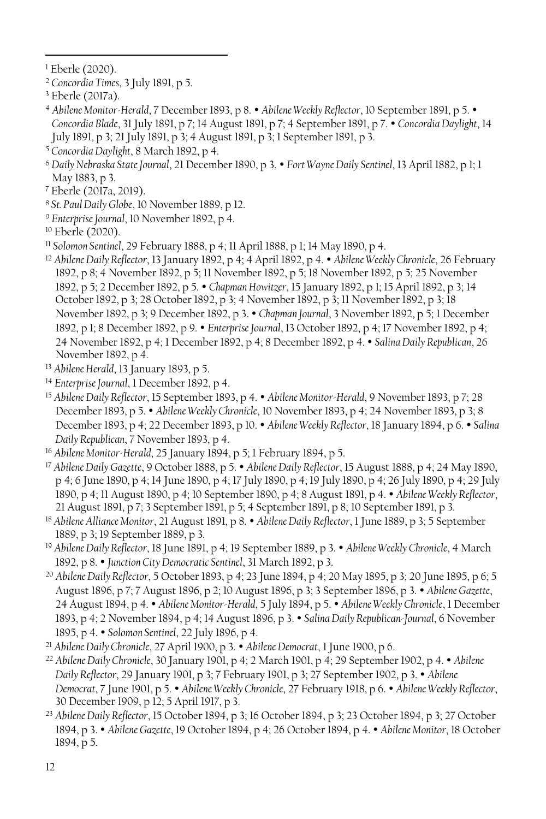<sup>1</sup> Eberle (2020).

 $\overline{a}$ 

<sup>2</sup> *Concordia Times*, 3 July 1891, p 5.

<sup>4</sup> *Abilene Monitor-Herald*, 7 December 1893, p 8. *Abilene Weekly Reflector*, 10 September 1891, p 5. *Concordia Blade*, 31 July 1891, p 7; 14 August 1891, p 7; 4 September 1891, p 7. *Concordia Daylight*, 14 July 1891, p 3; 21 July 1891, p 3; 4 August 1891, p 3; 1 September 1891, p 3.

- <sup>6</sup> *Daily Nebraska State Journal*, 21 December 1890, p 3. *Fort Wayne Daily Sentinel*, 13 April 1882, p 1; 1 May 1883, p 3.
- <sup>7</sup> Eberle (2017a, 2019).
- <sup>8</sup> *St. Paul Daily Globe*, 10 November 1889, p 12.
- <sup>9</sup> *Enterprise Journal*, 10 November 1892, p 4.
- <sup>10</sup> Eberle (2020).
- <sup>11</sup> *Solomon Sentinel*, 29 February 1888, p 4; 11 April 1888, p 1; 14 May 1890, p 4.
- <sup>12</sup> *Abilene Daily Reflector*, 13 January 1892, p 4; 4 April 1892, p 4. *Abilene Weekly Chronicle*, 26 February 1892, p 8; 4 November 1892, p 5; 11 November 1892, p 5; 18 November 1892, p 5; 25 November 1892, p 5; 2 December 1892, p 5. *Chapman Howitzer*, 15 January 1892, p 1; 15 April 1892, p 3; 14 October 1892, p 3; 28 October 1892, p 3; 4 November 1892, p 3; 11 November 1892, p 3; 18 November 1892, p 3; 9 December 1892, p 3. *Chapman Journal*, 3 November 1892, p 5; 1 December 1892, p 1; 8 December 1892, p 9. *Enterprise Journal*, 13 October 1892, p 4; 17 November 1892, p 4; 24 November 1892, p 4; 1 December 1892, p 4; 8 December 1892, p 4. *Salina Daily Republican*, 26 November 1892, p 4.
- <sup>13</sup> *Abilene Herald*, 13 January 1893, p 5.
- <sup>14</sup> *Enterprise Journal*, 1 December 1892, p 4.
- <sup>15</sup> *Abilene Daily Reflector*, 15 September 1893, p 4. *Abilene Monitor-Herald*, 9 November 1893, p 7; 28 December 1893, p 5. *Abilene Weekly Chronicle*, 10 November 1893, p 4; 24 November 1893, p 3; 8 December 1893, p 4; 22 December 1893, p 10. *Abilene Weekly Reflector*, 18 January 1894, p 6. *Salina Daily Republican*, 7 November 1893, p 4.
- <sup>16</sup> *Abilene Monitor-Herald*, 25 January 1894, p 5; 1 February 1894, p 5.
- <sup>17</sup> *Abilene Daily Gazette*, 9 October 1888, p 5. *Abilene Daily Reflector*, 15 August 1888, p 4; 24 May 1890, p 4; 6 June 1890, p 4; 14 June 1890, p 4; 17 July 1890, p 4; 19 July 1890, p 4; 26 July 1890, p 4; 29 July 1890, p 4; 11 August 1890, p 4; 10 September 1890, p 4; 8 August 1891, p 4. *Abilene Weekly Reflector*, 21 August 1891, p 7; 3 September 1891, p 5; 4 September 1891, p 8; 10 September 1891, p 3.
- <sup>18</sup> *Abilene Alliance Monitor*, 21 August 1891, p 8. *Abilene Daily Reflector*, 1 June 1889, p 3; 5 September 1889, p 3; 19 September 1889, p 3.
- <sup>19</sup> *Abilene Daily Reflector*, 18 June 1891, p 4; 19 September 1889, p 3. *Abilene Weekly Chronicle*, 4 March 1892, p 8. *Junction City Democratic Sentinel*, 31 March 1892, p 3.
- <sup>20</sup> *Abilene Daily Reflector*, 5 October 1893, p 4; 23 June 1894, p 4; 20 May 1895, p 3; 20 June 1895, p 6; 5 August 1896, p 7; 7 August 1896, p 2; 10 August 1896, p 3; 3 September 1896, p 3. *Abilene Gazette*, 24 August 1894, p 4. *Abilene Monitor-Herald*, 5 July 1894, p 5. *Abilene Weekly Chronicle*, 1 December 1893, p 4; 2 November 1894, p 4; 14 August 1896, p 3. *Salina Daily Republican-Journal*, 6 November 1895, p 4. *Solomon Sentinel*, 22 July 1896, p 4.
- <sup>21</sup> *Abilene Daily Chronicle*, 27 April 1900, p 3. *Abilene Democrat*, 1 June 1900, p 6.
- <sup>22</sup> *Abilene Daily Chronicle*, 30 January 1901, p 4; 2 March 1901, p 4; 29 September 1902, p 4. *Abilene Daily Reflector*, 29 January 1901, p 3; 7 February 1901, p 3; 27 September 1902, p 3. *Abilene Democrat*, 7 June 1901, p 5. *Abilene Weekly Chronicle*, 27 February 1918, p 6. *Abilene Weekly Reflector*, 30 December 1909, p 12; 5 April 1917, p 3.
- <sup>23</sup> *Abilene Daily Reflector*, 15 October 1894, p 3; 16 October 1894, p 3; 23 October 1894, p 3; 27 October 1894, p 3. *Abilene Gazette*, 19 October 1894, p 4; 26 October 1894, p 4. *Abilene Monitor*, 18 October 1894, p 5.

<sup>3</sup> Eberle (2017a).

<sup>5</sup> *Concordia Daylight*, 8 March 1892, p 4.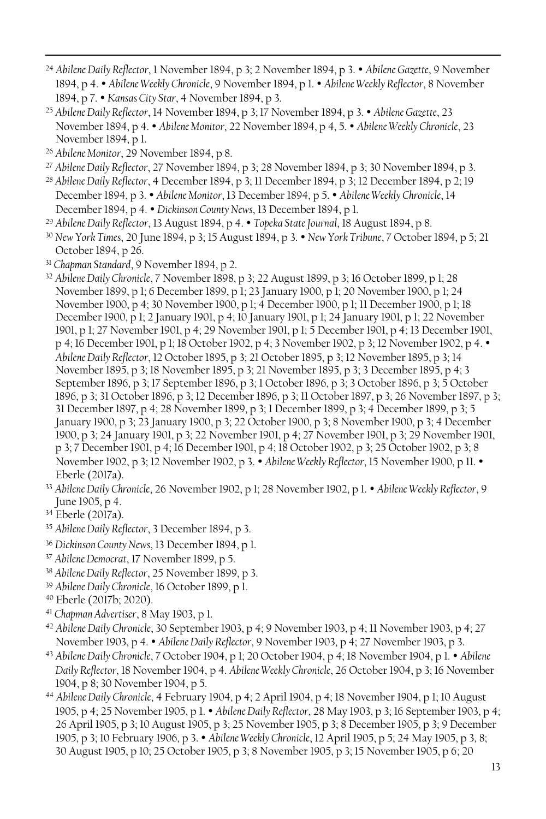- <sup>24</sup> *Abilene Daily Reflector*, 1 November 1894, p 3; 2 November 1894, p 3. *Abilene Gazette*, 9 November 1894, p 4. *Abilene Weekly Chronicle*, 9 November 1894, p 1. *Abilene Weekly Reflector*, 8 November 1894, p 7. *Kansas City Star*, 4 November 1894, p 3.
- <sup>25</sup> *Abilene Daily Reflector*, 14 November 1894, p 3; 17 November 1894, p 3. *Abilene Gazette*, 23 November 1894, p 4. *Abilene Monitor*, 22 November 1894, p 4, 5. *Abilene Weekly Chronicle*, 23 November 1894, p 1.
- <sup>26</sup> *Abilene Monitor*, 29 November 1894, p 8.

- <sup>27</sup> *Abilene Daily Reflector*, 27 November 1894, p 3; 28 November 1894, p 3; 30 November 1894, p 3.
- <sup>28</sup> *Abilene Daily Reflector*, 4 December 1894, p 3; 11 December 1894, p 3; 12 December 1894, p 2; 19 December 1894, p 3. *Abilene Monitor*, 13 December 1894, p 5. *Abilene Weekly Chronicle*, 14 December 1894, p 4. *Dickinson County News*, 13 December 1894, p 1.
- <sup>29</sup> *Abilene Daily Reflector*, 13 August 1894, p 4. *Topeka State Journal*, 18 August 1894, p 8.
- <sup>30</sup> *New York Times*, 20 June 1894, p 3; 15 August 1894, p 3. *New York Tribune*, 7 October 1894, p 5; 21 October 1894, p 26.
- <sup>31</sup> *Chapman Standard*, 9 November 1894, p 2.
- <sup>32</sup> *Abilene Daily Chronicle*, 7 November 1898, p 3; 22 August 1899, p 3; 16 October 1899, p 1; 28 November 1899, p 1; 6 December 1899, p 1; 23 January 1900, p 1; 20 November 1900, p 1; 24 November 1900, p 4; 30 November 1900, p 1; 4 December 1900, p 1; 11 December 1900, p 1; 18 December 1900, p 1; 2 January 1901, p 4; 10 January 1901, p 1; 24 January 1901, p 1; 22 November 1901, p 1; 27 November 1901, p 4; 29 November 1901, p 1; 5 December 1901, p 4; 13 December 1901, p 4; 16 December 1901, p 1; 18 October 1902, p 4; 3 November 1902, p 3; 12 November 1902, p 4. *Abilene Daily Reflector*, 12 October 1895, p 3; 21 October 1895, p 3; 12 November 1895, p 3; 14 November 1895, p 3; 18 November 1895, p 3; 21 November 1895, p 3; 3 December 1895, p 4; 3 September 1896, p 3; 17 September 1896, p 3; 1 October 1896, p 3; 3 October 1896, p 3; 5 October 1896, p 3; 31 October 1896, p 3; 12 December 1896, p 3; 11 October 1897, p 3; 26 November 1897, p 3; 31 December 1897, p 4; 28 November 1899, p 3; 1 December 1899, p 3; 4 December 1899, p 3; 5 January 1900, p 3; 23 January 1900, p 3; 22 October 1900, p 3; 8 November 1900, p 3; 4 December 1900, p 3; 24 January 1901, p 3; 22 November 1901, p 4; 27 November 1901, p 3; 29 November 1901, p 3; 7 December 1901, p 4; 16 December 1901, p 4; 18 October 1902, p 3; 25 October 1902, p 3; 8 November 1902, p 3; 12 November 1902, p 3. *Abilene Weekly Reflector*, 15 November 1900, p 11. Eberle (2017a).
- <sup>33</sup> *Abilene Daily Chronicle*, 26 November 1902, p 1; 28 November 1902, p 1. *Abilene Weekly Reflector*, 9 June 1905, p 4.
- <sup>34</sup> Eberle (2017a).
- <sup>35</sup> *Abilene Daily Reflector*, 3 December 1894, p 3.
- <sup>36</sup> *Dickinson County News*, 13 December 1894, p 1.
- <sup>37</sup> *Abilene Democrat*, 17 November 1899, p 5.
- <sup>38</sup> *Abilene Daily Reflector*, 25 November 1899, p 3.
- <sup>39</sup> *Abilene Daily Chronicle*, 16 October 1899, p 1.
- <sup>40</sup> Eberle (2017b; 2020).
- <sup>41</sup> *Chapman Advertiser*, 8 May 1903, p 1.
- <sup>42</sup> *Abilene Daily Chronicle*, 30 September 1903, p 4; 9 November 1903, p 4; 11 November 1903, p 4; 27 November 1903, p 4. *Abilene Daily Reflector*, 9 November 1903, p 4; 27 November 1903, p 3.
- <sup>43</sup> *Abilene Daily Chronicle*, 7 October 1904, p 1; 20 October 1904, p 4; 18 November 1904, p 1. *Abilene Daily Reflector*, 18 November 1904, p 4. *Abilene Weekly Chronicle*, 26 October 1904, p 3; 16 November 1904, p 8; 30 November 1904, p 5.
- <sup>44</sup> *Abilene Daily Chronicle*, 4 February 1904, p 4; 2 April 1904, p 4; 18 November 1904, p 1; 10 August 1905, p 4; 25 November 1905, p 1. *Abilene Daily Reflector*, 28 May 1903, p 3; 16 September 1903, p 4; 26 April 1905, p 3; 10 August 1905, p 3; 25 November 1905, p 3; 8 December 1905, p 3; 9 December 1905, p 3; 10 February 1906, p 3. *Abilene Weekly Chronicle*, 12 April 1905, p 5; 24 May 1905, p 3, 8; 30 August 1905, p 10; 25 October 1905, p 3; 8 November 1905, p 3; 15 November 1905, p 6; 20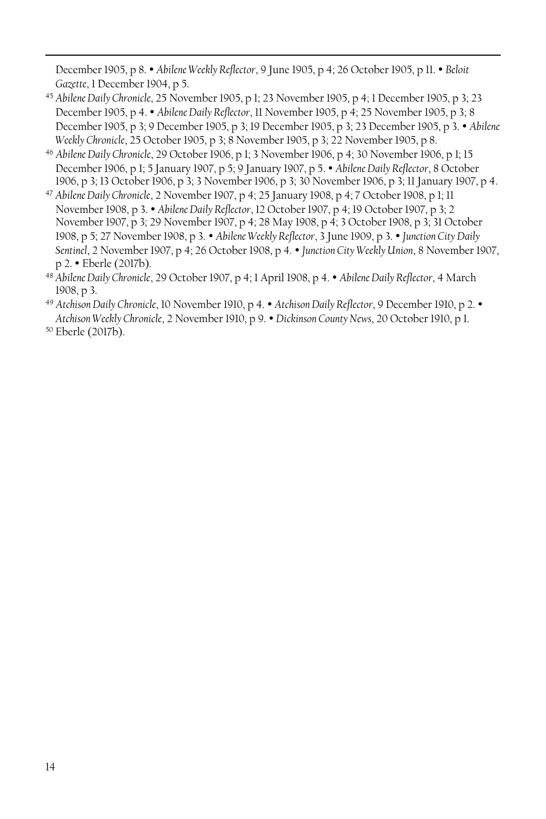December 1905, p 8. *Abilene Weekly Reflector*, 9 June 1905, p 4; 26 October 1905, p 11. *Beloit Gazette*, 1 December 1904, p 5.

- <sup>45</sup> *Abilene Daily Chronicle*, 25 November 1905, p 1; 23 November 1905, p 4; 1 December 1905, p 3; 23 December 1905, p 4. *Abilene Daily Reflector*, 11 November 1905, p 4; 25 November 1905, p 3; 8 December 1905, p 3; 9 December 1905, p 3; 19 December 1905, p 3; 23 December 1905, p 3. *Abilene Weekly Chronicle*, 25 October 1905, p 3; 8 November 1905, p 3; 22 November 1905, p 8.
- <sup>46</sup> *Abilene Daily Chronicle*, 29 October 1906, p 1; 3 November 1906, p 4; 30 November 1906, p 1; 15 December 1906, p 1; 5 January 1907, p 5; 9 January 1907, p 5. *Abilene Daily Reflector*, 8 October 1906, p 3; 13 October 1906, p 3; 3 November 1906, p 3; 30 November 1906, p 3; 11 January 1907, p 4.
- <sup>47</sup> *Abilene Daily Chronicle*, 2 November 1907, p 4; 25 January 1908, p 4; 7 October 1908, p 1; 11 November 1908, p 3. *Abilene Daily Reflector*, 12 October 1907, p 4; 19 October 1907, p 3; 2 November 1907, p 3; 29 November 1907, p 4; 28 May 1908, p 4; 3 October 1908, p 3; 31 October 1908, p 5; 27 November 1908, p 3. *Abilene Weekly Reflector*, 3 June 1909, p 3. *Junction City Daily Sentinel*, 2 November 1907, p 4; 26 October 1908, p 4. *Junction City Weekly Union*, 8 November 1907, p 2. Eberle (2017b).
- <sup>48</sup> *Abilene Daily Chronicle*, 29 October 1907, p 4; 1 April 1908, p 4. *Abilene Daily Reflector*, 4 March 1908, p 3.
- <sup>49</sup> *Atchison Daily Chronicle*, 10 November 1910, p 4. *Atchison Daily Reflector*, 9 December 1910, p 2. *Atchison Weekly Chronicle*, 2 November 1910, p 9. *Dickinson County News*, 20 October 1910, p 1.

<sup>50</sup> Eberle (2017b).